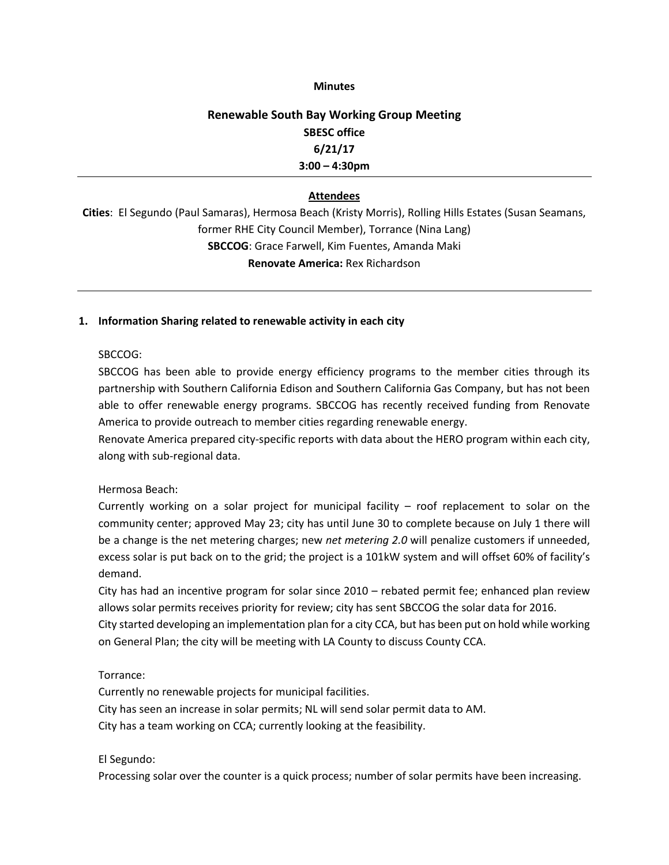### **Minutes**

# **Renewable South Bay Working Group Meeting SBESC office 6/21/17 3:00 – 4:30pm**

# **Attendees**

**Cities**: El Segundo (Paul Samaras), Hermosa Beach (Kristy Morris), Rolling Hills Estates (Susan Seamans, former RHE City Council Member), Torrance (Nina Lang) **SBCCOG**: Grace Farwell, Kim Fuentes, Amanda Maki **Renovate America:** Rex Richardson

### **1. Information Sharing related to renewable activity in each city**

# SBCCOG:

SBCCOG has been able to provide energy efficiency programs to the member cities through its partnership with Southern California Edison and Southern California Gas Company, but has not been able to offer renewable energy programs. SBCCOG has recently received funding from Renovate America to provide outreach to member cities regarding renewable energy.

Renovate America prepared city-specific reports with data about the HERO program within each city, along with sub-regional data.

# Hermosa Beach:

Currently working on a solar project for municipal facility – roof replacement to solar on the community center; approved May 23; city has until June 30 to complete because on July 1 there will be a change is the net metering charges; new *net metering 2.0* will penalize customers if unneeded, excess solar is put back on to the grid; the project is a 101kW system and will offset 60% of facility's demand.

City has had an incentive program for solar since 2010 – rebated permit fee; enhanced plan review allows solar permits receives priority for review; city has sent SBCCOG the solar data for 2016.

City started developing an implementation plan for a city CCA, but has been put on hold while working on General Plan; the city will be meeting with LA County to discuss County CCA.

# Torrance:

Currently no renewable projects for municipal facilities. City has seen an increase in solar permits; NL will send solar permit data to AM. City has a team working on CCA; currently looking at the feasibility.

#### El Segundo:

Processing solar over the counter is a quick process; number of solar permits have been increasing.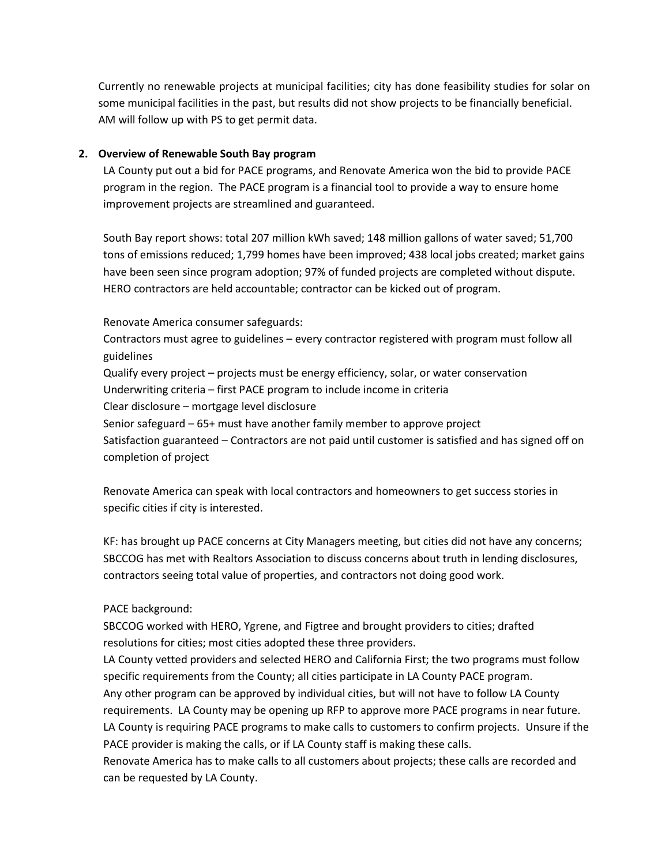Currently no renewable projects at municipal facilities; city has done feasibility studies for solar on some municipal facilities in the past, but results did not show projects to be financially beneficial. AM will follow up with PS to get permit data.

# **2. Overview of Renewable South Bay program**

LA County put out a bid for PACE programs, and Renovate America won the bid to provide PACE program in the region. The PACE program is a financial tool to provide a way to ensure home improvement projects are streamlined and guaranteed.

South Bay report shows: total 207 million kWh saved; 148 million gallons of water saved; 51,700 tons of emissions reduced; 1,799 homes have been improved; 438 local jobs created; market gains have been seen since program adoption; 97% of funded projects are completed without dispute. HERO contractors are held accountable; contractor can be kicked out of program.

Renovate America consumer safeguards:

Contractors must agree to guidelines – every contractor registered with program must follow all guidelines Qualify every project – projects must be energy efficiency, solar, or water conservation

Underwriting criteria – first PACE program to include income in criteria

Clear disclosure – mortgage level disclosure

Senior safeguard – 65+ must have another family member to approve project

Satisfaction guaranteed – Contractors are not paid until customer is satisfied and has signed off on completion of project

Renovate America can speak with local contractors and homeowners to get success stories in specific cities if city is interested.

KF: has brought up PACE concerns at City Managers meeting, but cities did not have any concerns; SBCCOG has met with Realtors Association to discuss concerns about truth in lending disclosures, contractors seeing total value of properties, and contractors not doing good work.

PACE background:

SBCCOG worked with HERO, Ygrene, and Figtree and brought providers to cities; drafted resolutions for cities; most cities adopted these three providers.

LA County vetted providers and selected HERO and California First; the two programs must follow specific requirements from the County; all cities participate in LA County PACE program. Any other program can be approved by individual cities, but will not have to follow LA County requirements. LA County may be opening up RFP to approve more PACE programs in near future. LA County is requiring PACE programs to make calls to customers to confirm projects. Unsure if the PACE provider is making the calls, or if LA County staff is making these calls.

Renovate America has to make calls to all customers about projects; these calls are recorded and can be requested by LA County.